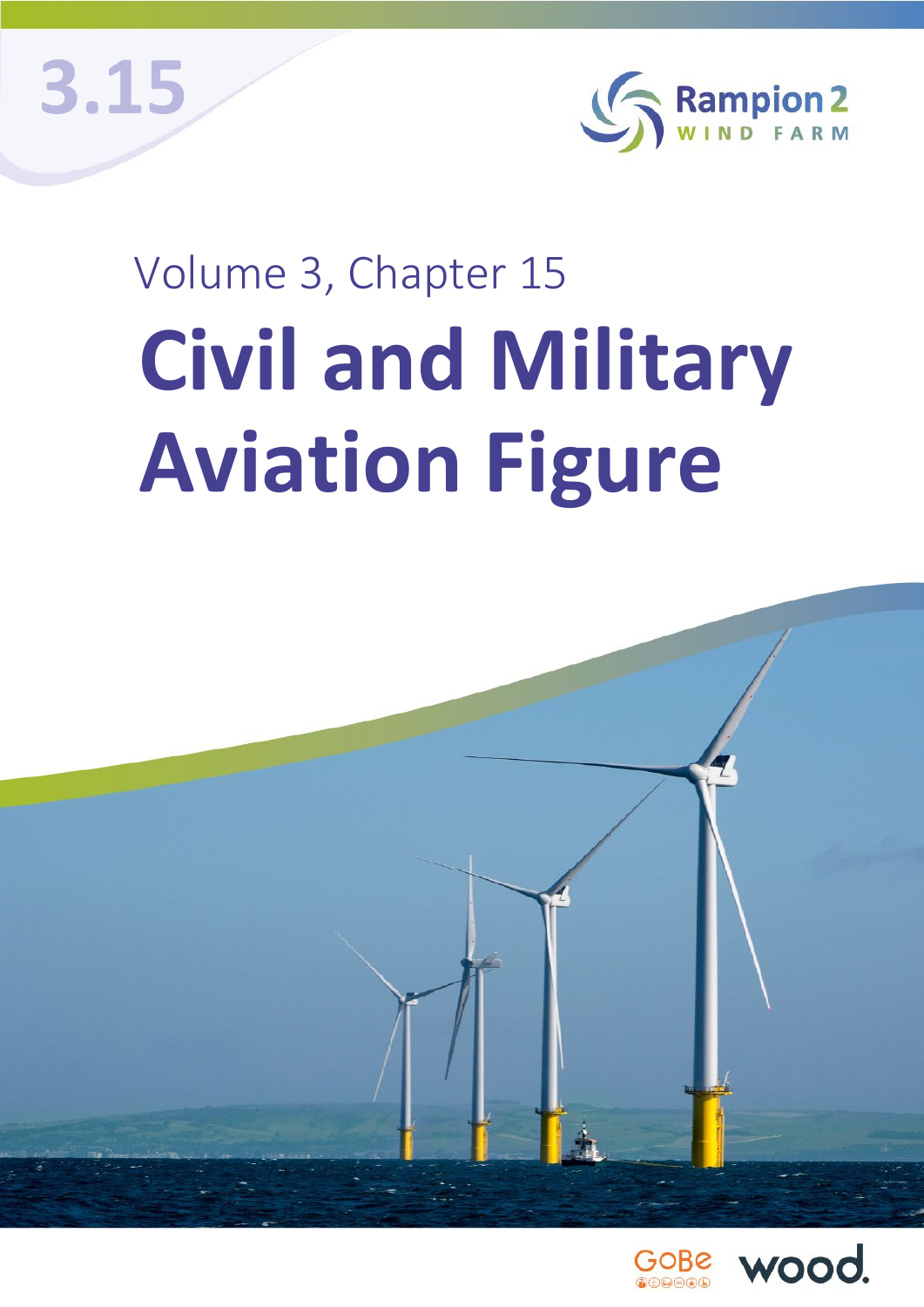**3.15**



## Volume 3, Chapter 15 **Civil and Military Aviation Figure**